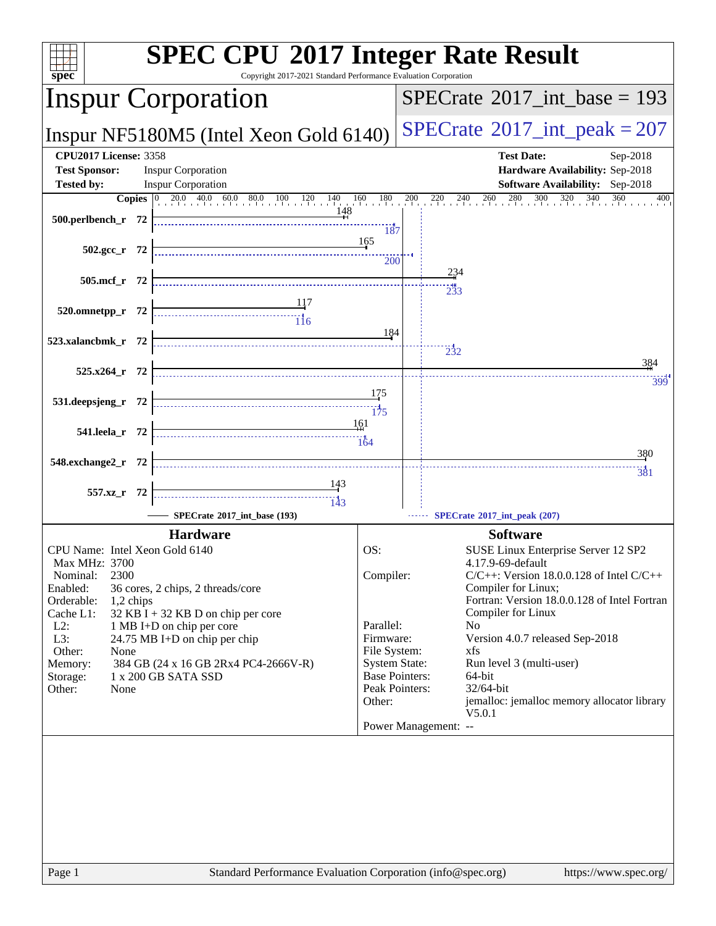| $spec^*$                                                                                                                                                                                                  | Copyright 2017-2021 Standard Performance Evaluation Corporation | <b>SPEC CPU®2017 Integer Rate Result</b>                                                                                                                                                                                                |  |  |  |
|-----------------------------------------------------------------------------------------------------------------------------------------------------------------------------------------------------------|-----------------------------------------------------------------|-----------------------------------------------------------------------------------------------------------------------------------------------------------------------------------------------------------------------------------------|--|--|--|
| <b>Inspur Corporation</b>                                                                                                                                                                                 |                                                                 | $SPECrate^{\circledast}2017\_int\_base = 193$                                                                                                                                                                                           |  |  |  |
| Inspur NF5180M5 (Intel Xeon Gold 6140)                                                                                                                                                                    |                                                                 | $SPECrate$ <sup>®</sup> 2017_int_peak = 207                                                                                                                                                                                             |  |  |  |
| <b>CPU2017 License: 3358</b><br><b>Test Sponsor:</b><br><b>Inspur Corporation</b><br><b>Tested by:</b><br><b>Inspur Corporation</b>                                                                       |                                                                 | <b>Test Date:</b><br>Sep-2018<br>Hardware Availability: Sep-2018<br><b>Software Availability:</b> Sep-2018                                                                                                                              |  |  |  |
|                                                                                                                                                                                                           | <b>Copies</b> 0 20.0 40.0 60.0 80.0 100 120 140 160 180         | $^{200}$<br>$^{220}$<br>$240$ $260$<br>$\frac{280}{1}$<br>300<br>320<br>340<br>360<br>400                                                                                                                                               |  |  |  |
| 500.perlbench_r 72                                                                                                                                                                                        | 148<br>187                                                      |                                                                                                                                                                                                                                         |  |  |  |
| $502.\text{gcc}_r$ 72                                                                                                                                                                                     | 165<br>200                                                      |                                                                                                                                                                                                                                         |  |  |  |
| 505.mcf_r 72                                                                                                                                                                                              |                                                                 | 234                                                                                                                                                                                                                                     |  |  |  |
| 117<br>117<br>116<br>520.omnetpp_r 72                                                                                                                                                                     |                                                                 |                                                                                                                                                                                                                                         |  |  |  |
| 523.xalancbmk_r 72                                                                                                                                                                                        | 184                                                             | $\frac{1}{2}32$<br>384                                                                                                                                                                                                                  |  |  |  |
| $525.x264$ $r$ 72                                                                                                                                                                                         |                                                                 |                                                                                                                                                                                                                                         |  |  |  |
| 531.deepsjeng_r 72                                                                                                                                                                                        | 175<br>175                                                      | 399                                                                                                                                                                                                                                     |  |  |  |
| 541.leela_r 72                                                                                                                                                                                            | -161<br>164                                                     |                                                                                                                                                                                                                                         |  |  |  |
| 548.exchange2_r 72                                                                                                                                                                                        |                                                                 | 380<br><br>381                                                                                                                                                                                                                          |  |  |  |
| 557.xz_r 72                                                                                                                                                                                               |                                                                 |                                                                                                                                                                                                                                         |  |  |  |
| SPECrate®2017_int_base (193)                                                                                                                                                                              |                                                                 | SPECrate®2017_int_peak (207)                                                                                                                                                                                                            |  |  |  |
| <b>Hardware</b>                                                                                                                                                                                           |                                                                 | <b>Software</b>                                                                                                                                                                                                                         |  |  |  |
| CPU Name: Intel Xeon Gold 6140<br><b>Max MHz: 3700</b><br>2300<br>Nominal:<br>Enabled:<br>36 cores, 2 chips, 2 threads/core<br>Orderable:<br>1,2 chips<br>Cache L1:<br>32 KB I + 32 KB D on chip per core | OS:<br>Compiler:                                                | SUSE Linux Enterprise Server 12 SP2<br>4.17.9-69-default<br>$C/C++$ : Version 18.0.0.128 of Intel $C/C++$<br>Compiler for Linux;<br>Fortran: Version 18.0.0.128 of Intel Fortran<br>Compiler for Linux                                  |  |  |  |
| $L2$ :<br>1 MB I+D on chip per core<br>L3:<br>24.75 MB I+D on chip per chip<br>Other:<br>None<br>384 GB (24 x 16 GB 2Rx4 PC4-2666V-R)<br>Memory:<br>1 x 200 GB SATA SSD<br>Storage:<br>Other:<br>None     | Parallel:<br>Firmware:<br>File System:<br>Other:                | N <sub>0</sub><br>Version 4.0.7 released Sep-2018<br>xfs<br><b>System State:</b><br>Run level 3 (multi-user)<br><b>Base Pointers:</b><br>64-bit<br>Peak Pointers:<br>32/64-bit<br>jemalloc: jemalloc memory allocator library<br>V5.0.1 |  |  |  |
| Page 1                                                                                                                                                                                                    | Standard Performance Evaluation Corporation (info@spec.org)     | Power Management: --<br>https://www.spec.org/                                                                                                                                                                                           |  |  |  |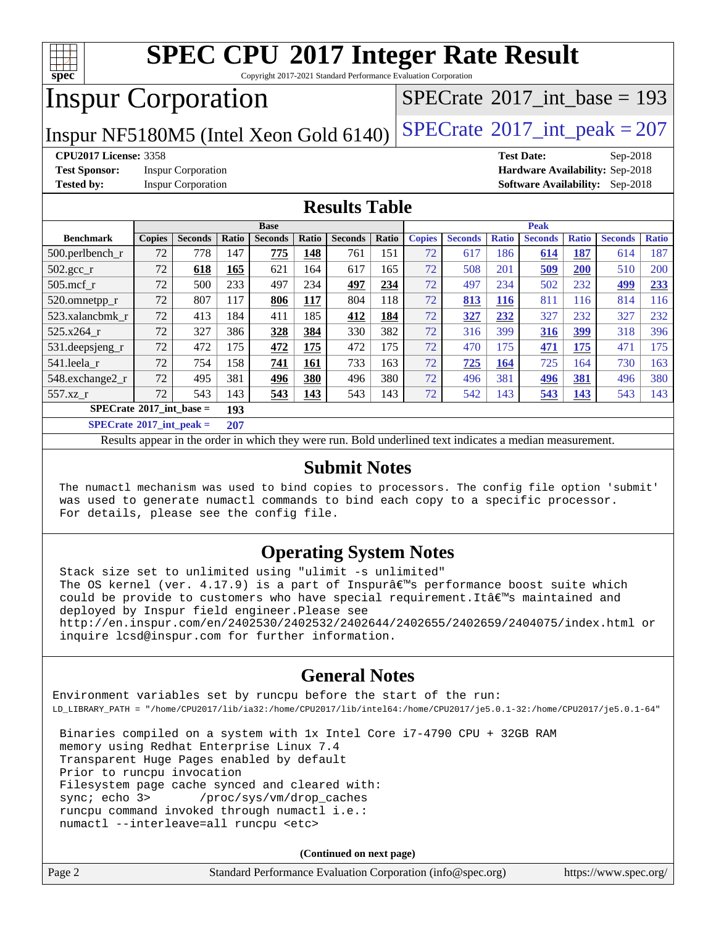

Copyright 2017-2021 Standard Performance Evaluation Corporation

## Inspur Corporation

 $SPECTate@2017_int\_base = 193$ 

Inspur NF5180M5 (Intel Xeon Gold  $6140$ ) [SPECrate](http://www.spec.org/auto/cpu2017/Docs/result-fields.html#SPECrate2017intpeak)<sup>®</sup>[2017\\_int\\_peak = 2](http://www.spec.org/auto/cpu2017/Docs/result-fields.html#SPECrate2017intpeak)07

**[Test Sponsor:](http://www.spec.org/auto/cpu2017/Docs/result-fields.html#TestSponsor)** Inspur Corporation **[Hardware Availability:](http://www.spec.org/auto/cpu2017/Docs/result-fields.html#HardwareAvailability)** Sep-2018

**[CPU2017 License:](http://www.spec.org/auto/cpu2017/Docs/result-fields.html#CPU2017License)** 3358 **[Test Date:](http://www.spec.org/auto/cpu2017/Docs/result-fields.html#TestDate)** Sep-2018 **[Tested by:](http://www.spec.org/auto/cpu2017/Docs/result-fields.html#Testedby)** Inspur Corporation **[Software Availability:](http://www.spec.org/auto/cpu2017/Docs/result-fields.html#SoftwareAvailability)** Sep-2018

#### **[Results Table](http://www.spec.org/auto/cpu2017/Docs/result-fields.html#ResultsTable)**

|                                          | <b>Base</b>   |                |              |                |            |                | <b>Peak</b> |               |                |              |                |              |                |              |
|------------------------------------------|---------------|----------------|--------------|----------------|------------|----------------|-------------|---------------|----------------|--------------|----------------|--------------|----------------|--------------|
| <b>Benchmark</b>                         | <b>Copies</b> | <b>Seconds</b> | Ratio        | <b>Seconds</b> | Ratio      | <b>Seconds</b> | Ratio       | <b>Copies</b> | <b>Seconds</b> | <b>Ratio</b> | <b>Seconds</b> | <b>Ratio</b> | <b>Seconds</b> | <b>Ratio</b> |
| $500.$ perlbench r                       | 72            | 778            | 147          | 775            | 148        | 761            | 151         | 72            | 617            | 186          | 614            | <u>187</u>   | 614            | 187          |
| $502.\text{gcc}$ <sub>r</sub>            | 72            | 618            | 165          | 621            | 164        | 617            | 165         | 72            | 508            | 201          | 509            | 200          | 510            | 200          |
| $505$ .mcf r                             | 72            | 500            | 233          | 497            | 234        | 497            | 234         | 72            | 497            | 234          | 502            | 232          | 499            | 233          |
| 520.omnetpp_r                            | 72            | 807            | 117          | 806            | <b>117</b> | 804            | 118         | 72            | 813            | <b>116</b>   | 811            | 116          | 814            | 116          |
| 523.xalancbmk r                          | 72            | 413            | 184          | 411            | 185        | 412            | 184         | 72            | 327            | 232          | 327            | 232          | 327            | 232          |
| 525.x264 r                               | 72            | 327            | 386          | 328            | 384        | 330            | 382         | 72            | 316            | 399          | 316            | 399          | 318            | 396          |
| 531.deepsjeng_r                          | 72            | 472            | 175          | 472            | 175        | 472            | 175         | 72            | 470            | 175          | 471            | 175          | 471            | 175          |
| 541.leela r                              | 72            | 754            | 158          | 741            | 161        | 733            | 163         | 72            | 725            | 164          | 725            | 164          | 730            | 163          |
| 548.exchange2_r                          | 72            | 495            | 381          | 496            | 380        | 496            | 380         | 72            | 496            | 381          | 496            | 381          | 496            | 380          |
| 557.xz r                                 | 72            | 543            | 143          | 543            | 143        | 543            | 143         | 72            | 542            | 143          | 543            | 143          | 543            | 143          |
| $SPECrate^{\circ}2017$ int base =<br>193 |               |                |              |                |            |                |             |               |                |              |                |              |                |              |
| $CDEDC = 1.6904E^{-1}$ and $1.1$         |               |                | $A \wedge B$ |                |            |                |             |               |                |              |                |              |                |              |

**[SPECrate](http://www.spec.org/auto/cpu2017/Docs/result-fields.html#SPECrate2017intpeak)[2017\\_int\\_peak =](http://www.spec.org/auto/cpu2017/Docs/result-fields.html#SPECrate2017intpeak) 207**

Results appear in the [order in which they were run](http://www.spec.org/auto/cpu2017/Docs/result-fields.html#RunOrder). Bold underlined text [indicates a median measurement](http://www.spec.org/auto/cpu2017/Docs/result-fields.html#Median).

#### **[Submit Notes](http://www.spec.org/auto/cpu2017/Docs/result-fields.html#SubmitNotes)**

 The numactl mechanism was used to bind copies to processors. The config file option 'submit' was used to generate numactl commands to bind each copy to a specific processor. For details, please see the config file.

#### **[Operating System Notes](http://www.spec.org/auto/cpu2017/Docs/result-fields.html#OperatingSystemNotes)**

 Stack size set to unlimited using "ulimit -s unlimited" The OS kernel (ver.  $4.17.9$ ) is a part of Inspurâ $\varepsilon$ <sup>m</sup>s performance boost suite which could be provide to customers who have special requirement. It all maintained and deployed by Inspur field engineer. Please see <http://en.inspur.com/en/2402530/2402532/2402644/2402655/2402659/2404075/index.html> or inquire lcsd@inspur.com for further information.

#### **[General Notes](http://www.spec.org/auto/cpu2017/Docs/result-fields.html#GeneralNotes)**

Environment variables set by runcpu before the start of the run: LD\_LIBRARY\_PATH = "/home/CPU2017/lib/ia32:/home/CPU2017/lib/intel64:/home/CPU2017/je5.0.1-32:/home/CPU2017/je5.0.1-64"

 Binaries compiled on a system with 1x Intel Core i7-4790 CPU + 32GB RAM memory using Redhat Enterprise Linux 7.4 Transparent Huge Pages enabled by default Prior to runcpu invocation Filesystem page cache synced and cleared with: sync; echo 3> /proc/sys/vm/drop\_caches runcpu command invoked through numactl i.e.: numactl --interleave=all runcpu <etc>

**(Continued on next page)**

| Page 2 | Standard Performance Evaluation Corporation (info@spec.org) | https://www.spec.org/ |
|--------|-------------------------------------------------------------|-----------------------|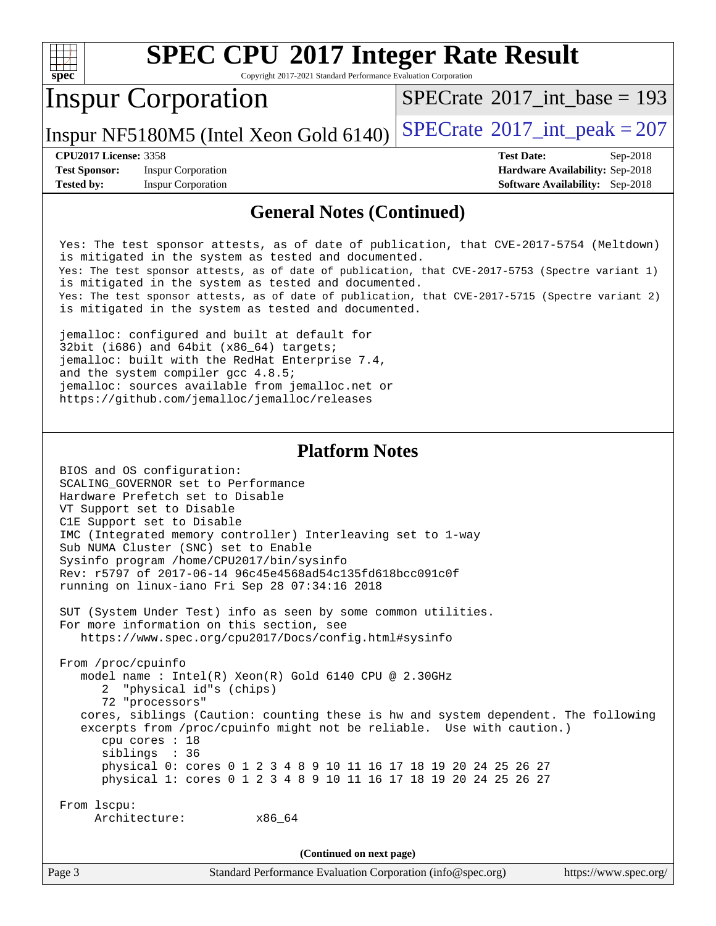| <b>SPEC CPU®2017 Integer Rate Result</b><br>spec<br>Copyright 2017-2021 Standard Performance Evaluation Corporation                   |                                        |                                             |  |  |  |  |
|---------------------------------------------------------------------------------------------------------------------------------------|----------------------------------------|---------------------------------------------|--|--|--|--|
|                                                                                                                                       | <b>Inspur Corporation</b>              | $SPECTate$ <sup>®</sup> 2017 int base = 193 |  |  |  |  |
|                                                                                                                                       | Inspur NF5180M5 (Intel Xeon Gold 6140) | $SPECTate$ <sup>®</sup> 2017_int_peak = 207 |  |  |  |  |
| <b>CPU2017 License: 3358</b>                                                                                                          |                                        | <b>Test Date:</b><br>$Sep-2018$             |  |  |  |  |
| <b>Test Sponsor:</b>                                                                                                                  | <b>Inspur Corporation</b>              | <b>Hardware Availability: Sep-2018</b>      |  |  |  |  |
| <b>Tested by:</b>                                                                                                                     | <b>Inspur Corporation</b>              | <b>Software Availability:</b> Sep-2018      |  |  |  |  |
| <b>General Notes (Continued)</b><br>valde mill blad an indir iddighan a chair a faidh an initiated an bill ann AA19 E9E1 (velidigh ). |                                        |                                             |  |  |  |  |

 Yes: The test sponsor attests, as of date of publication, that CVE-2017-5754 (Meltdown) is mitigated in the system as tested and documented. Yes: The test sponsor attests, as of date of publication, that CVE-2017-5753 (Spectre variant 1) is mitigated in the system as tested and documented. Yes: The test sponsor attests, as of date of publication, that CVE-2017-5715 (Spectre variant 2) is mitigated in the system as tested and documented.

 jemalloc: configured and built at default for 32bit (i686) and 64bit (x86\_64) targets; jemalloc: built with the RedHat Enterprise 7.4, and the system compiler gcc 4.8.5; jemalloc: sources available from jemalloc.net or <https://github.com/jemalloc/jemalloc/releases>

#### **[Platform Notes](http://www.spec.org/auto/cpu2017/Docs/result-fields.html#PlatformNotes)**

 BIOS and OS configuration: SCALING\_GOVERNOR set to Performance Hardware Prefetch set to Disable VT Support set to Disable C1E Support set to Disable IMC (Integrated memory controller) Interleaving set to 1-way Sub NUMA Cluster (SNC) set to Enable Sysinfo program /home/CPU2017/bin/sysinfo Rev: r5797 of 2017-06-14 96c45e4568ad54c135fd618bcc091c0f running on linux-iano Fri Sep 28 07:34:16 2018 SUT (System Under Test) info as seen by some common utilities. For more information on this section, see <https://www.spec.org/cpu2017/Docs/config.html#sysinfo> From /proc/cpuinfo model name : Intel(R) Xeon(R) Gold 6140 CPU @ 2.30GHz 2 "physical id"s (chips) 72 "processors" cores, siblings (Caution: counting these is hw and system dependent. The following excerpts from /proc/cpuinfo might not be reliable. Use with caution.) cpu cores : 18 siblings : 36 physical 0: cores 0 1 2 3 4 8 9 10 11 16 17 18 19 20 24 25 26 27 physical 1: cores 0 1 2 3 4 8 9 10 11 16 17 18 19 20 24 25 26 27 From lscpu: Architecture: x86\_64 **(Continued on next page)**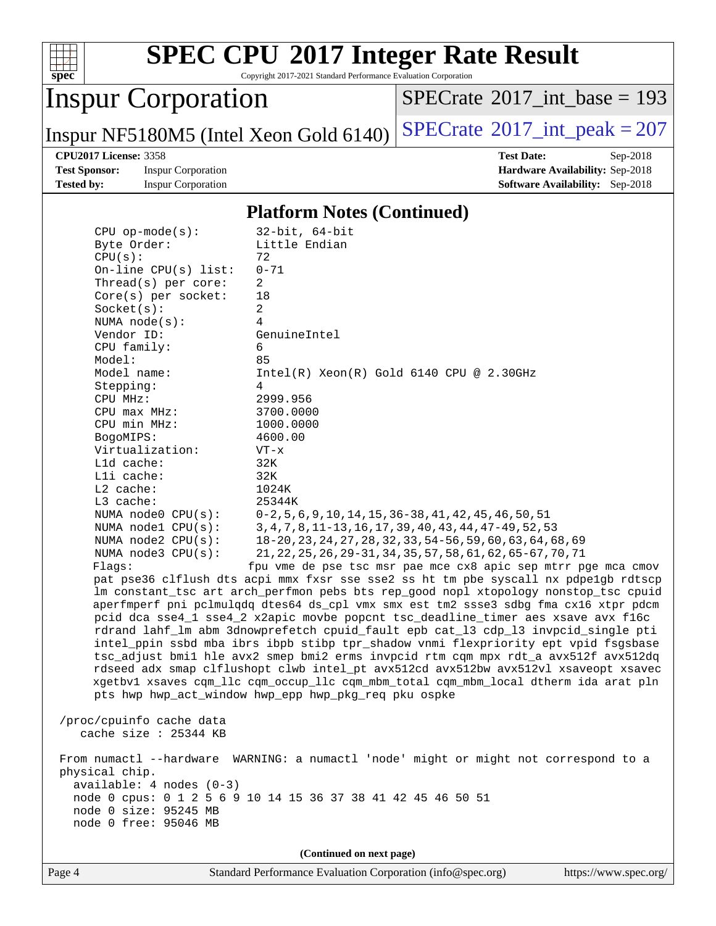

Copyright 2017-2021 Standard Performance Evaluation Corporation

# Inspur Corporation

 $SPECrate$ <sup>®</sup>[2017\\_int\\_base =](http://www.spec.org/auto/cpu2017/Docs/result-fields.html#SPECrate2017intbase) 193

Inspur NF5180M5 (Intel Xeon Gold 6140)  $SPECrate^{\circ}2017\_int\_peak = 207$  $SPECrate^{\circ}2017\_int\_peak = 207$ 

**[Test Sponsor:](http://www.spec.org/auto/cpu2017/Docs/result-fields.html#TestSponsor)** Inspur Corporation **[Hardware Availability:](http://www.spec.org/auto/cpu2017/Docs/result-fields.html#HardwareAvailability)** Sep-2018

**[CPU2017 License:](http://www.spec.org/auto/cpu2017/Docs/result-fields.html#CPU2017License)** 3358 **[Test Date:](http://www.spec.org/auto/cpu2017/Docs/result-fields.html#TestDate)** Sep-2018 **[Tested by:](http://www.spec.org/auto/cpu2017/Docs/result-fields.html#Testedby)** Inspur Corporation **[Software Availability:](http://www.spec.org/auto/cpu2017/Docs/result-fields.html#SoftwareAvailability)** Sep-2018

#### **[Platform Notes \(Continued\)](http://www.spec.org/auto/cpu2017/Docs/result-fields.html#PlatformNotes)**

| $CPU$ op-mode(s):                                                                                                                                                           | $32$ -bit, $64$ -bit                                                                 |  |  |  |
|-----------------------------------------------------------------------------------------------------------------------------------------------------------------------------|--------------------------------------------------------------------------------------|--|--|--|
| Byte Order:                                                                                                                                                                 | Little Endian                                                                        |  |  |  |
| CPU(s):                                                                                                                                                                     | 72                                                                                   |  |  |  |
| On-line $CPU(s)$ list:                                                                                                                                                      | $0 - 71$                                                                             |  |  |  |
| Thread(s) per core:                                                                                                                                                         | 2                                                                                    |  |  |  |
| $Core(s)$ per socket:                                                                                                                                                       | 18                                                                                   |  |  |  |
| Socket(s):                                                                                                                                                                  | $\overline{a}$<br>$\overline{4}$                                                     |  |  |  |
| NUMA $node(s):$<br>Vendor ID:                                                                                                                                               | GenuineIntel                                                                         |  |  |  |
| CPU family:                                                                                                                                                                 | 6                                                                                    |  |  |  |
| Model:                                                                                                                                                                      | 85                                                                                   |  |  |  |
| Model name:                                                                                                                                                                 | $Intel(R)$ Xeon $(R)$ Gold 6140 CPU @ 2.30GHz                                        |  |  |  |
| Stepping:                                                                                                                                                                   | 4                                                                                    |  |  |  |
| CPU MHz:                                                                                                                                                                    | 2999.956                                                                             |  |  |  |
| $CPU$ max $MHz$ :                                                                                                                                                           | 3700.0000                                                                            |  |  |  |
| CPU min MHz:                                                                                                                                                                | 1000.0000                                                                            |  |  |  |
| BogoMIPS:                                                                                                                                                                   | 4600.00                                                                              |  |  |  |
| Virtualization:                                                                                                                                                             | $VT - x$                                                                             |  |  |  |
| L1d cache:                                                                                                                                                                  | 32K                                                                                  |  |  |  |
| Lli cache:                                                                                                                                                                  | 32K                                                                                  |  |  |  |
| $L2$ cache:                                                                                                                                                                 | 1024K                                                                                |  |  |  |
| $L3$ cache:                                                                                                                                                                 | 25344K                                                                               |  |  |  |
| NUMA node0 CPU(s):                                                                                                                                                          | $0-2, 5, 6, 9, 10, 14, 15, 36-38, 41, 42, 45, 46, 50, 51$                            |  |  |  |
| NUMA nodel CPU(s):                                                                                                                                                          | 3, 4, 7, 8, 11-13, 16, 17, 39, 40, 43, 44, 47-49, 52, 53                             |  |  |  |
| NUMA node2 CPU(s):                                                                                                                                                          | 18-20, 23, 24, 27, 28, 32, 33, 54-56, 59, 60, 63, 64, 68, 69                         |  |  |  |
| NUMA $node3$ $CPU(s)$ :                                                                                                                                                     | 21, 22, 25, 26, 29-31, 34, 35, 57, 58, 61, 62, 65-67, 70, 71                         |  |  |  |
| Flagg:                                                                                                                                                                      | fpu vme de pse tsc msr pae mce cx8 apic sep mtrr pge mca cmov                        |  |  |  |
|                                                                                                                                                                             | pat pse36 clflush dts acpi mmx fxsr sse sse2 ss ht tm pbe syscall nx pdpelgb rdtscp  |  |  |  |
| lm constant_tsc art arch_perfmon pebs bts rep_good nopl xtopology nonstop_tsc cpuid<br>aperfmperf pni pclmulqdq dtes64 ds_cpl vmx smx est tm2 ssse3 sdbg fma cx16 xtpr pdcm |                                                                                      |  |  |  |
| pcid dca sse4_1 sse4_2 x2apic movbe popcnt tsc_deadline_timer aes xsave avx f16c                                                                                            |                                                                                      |  |  |  |
|                                                                                                                                                                             | rdrand lahf_lm abm 3dnowprefetch cpuid_fault epb cat_13 cdp_13 invpcid_single pti    |  |  |  |
|                                                                                                                                                                             | intel_ppin ssbd mba ibrs ibpb stibp tpr_shadow vnmi flexpriority ept vpid fsgsbase   |  |  |  |
| tsc_adjust bmil hle avx2 smep bmi2 erms invpcid rtm cqm mpx rdt_a avx512f avx512dq                                                                                          |                                                                                      |  |  |  |
| rdseed adx smap clflushopt clwb intel_pt avx512cd avx512bw avx512vl xsaveopt xsavec                                                                                         |                                                                                      |  |  |  |
| xgetbvl xsaves cqm_llc cqm_occup_llc cqm_mbm_total cqm_mbm_local dtherm ida arat pln                                                                                        |                                                                                      |  |  |  |
| pts hwp hwp_act_window hwp_epp hwp_pkg_req pku ospke                                                                                                                        |                                                                                      |  |  |  |
|                                                                                                                                                                             |                                                                                      |  |  |  |
| /proc/cpuinfo cache data                                                                                                                                                    |                                                                                      |  |  |  |
| cache size : 25344 KB                                                                                                                                                       |                                                                                      |  |  |  |
|                                                                                                                                                                             | From numactl --hardware WARNING: a numactl 'node' might or might not correspond to a |  |  |  |
| physical chip.                                                                                                                                                              |                                                                                      |  |  |  |
| available: 4 nodes (0-3)                                                                                                                                                    |                                                                                      |  |  |  |
| node 0 cpus: 0 1 2 5 6 9 10 14 15 36 37 38 41 42 45 46 50 51                                                                                                                |                                                                                      |  |  |  |
| node 0 size: 95245 MB                                                                                                                                                       |                                                                                      |  |  |  |
| node 0 free: 95046 MB                                                                                                                                                       |                                                                                      |  |  |  |
|                                                                                                                                                                             |                                                                                      |  |  |  |
|                                                                                                                                                                             | (Continued on next page)                                                             |  |  |  |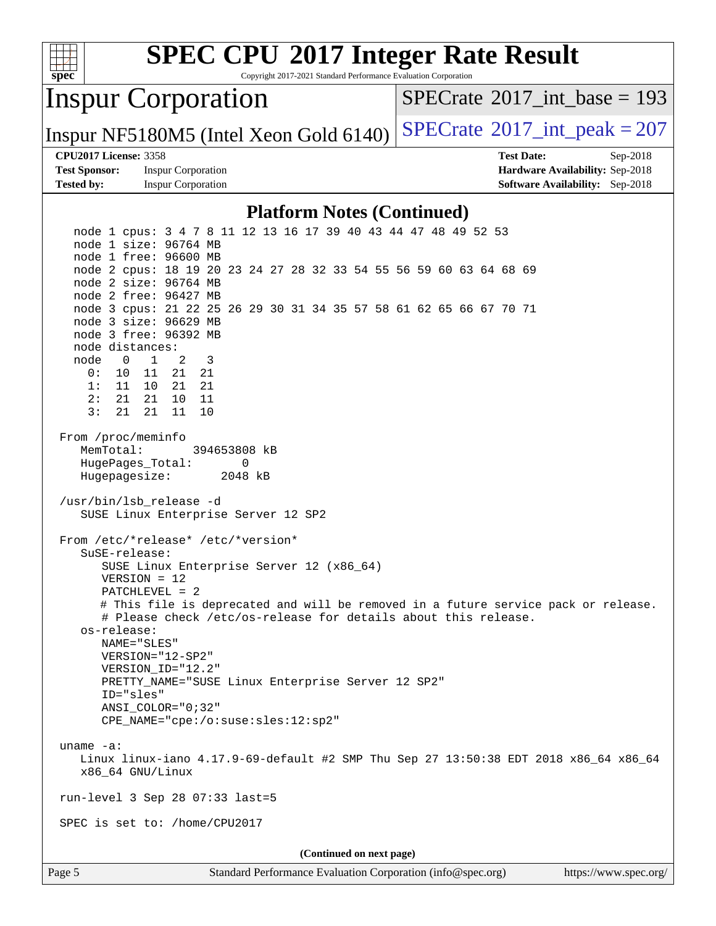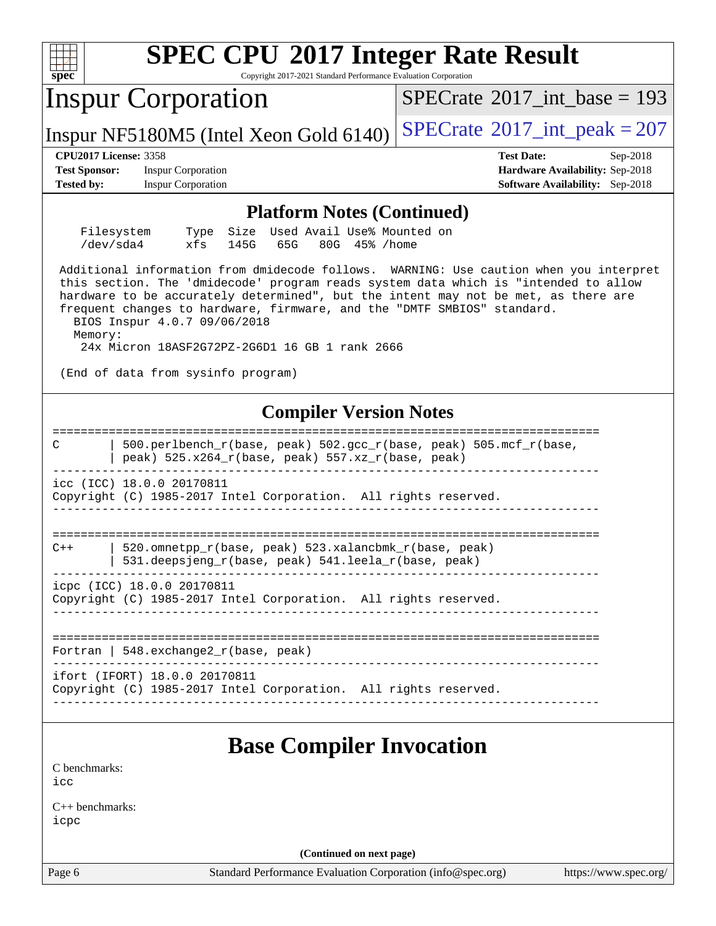| <b>SPEC CPU®2017 Integer Rate Result</b><br>spec <sup>®</sup><br>Copyright 2017-2021 Standard Performance Evaluation Corporation                                                                                                                                                                                                                                                                                                            |                                                                                                     |
|---------------------------------------------------------------------------------------------------------------------------------------------------------------------------------------------------------------------------------------------------------------------------------------------------------------------------------------------------------------------------------------------------------------------------------------------|-----------------------------------------------------------------------------------------------------|
| <b>Inspur Corporation</b>                                                                                                                                                                                                                                                                                                                                                                                                                   | $SPECrate^{\circ}2017\_int\_base = 193$                                                             |
| Inspur NF5180M5 (Intel Xeon Gold 6140)                                                                                                                                                                                                                                                                                                                                                                                                      | $SPECTate@2017_int\_peak = 207$                                                                     |
| <b>CPU2017 License: 3358</b><br><b>Test Sponsor:</b><br><b>Inspur Corporation</b><br><b>Tested by:</b><br><b>Inspur Corporation</b>                                                                                                                                                                                                                                                                                                         | <b>Test Date:</b><br>Sep-2018<br>Hardware Availability: Sep-2018<br>Software Availability: Sep-2018 |
| <b>Platform Notes (Continued)</b>                                                                                                                                                                                                                                                                                                                                                                                                           |                                                                                                     |
| Used Avail Use% Mounted on<br>Filesystem<br>Size<br>Type<br>/dev/sda4<br>xfs<br>65G<br>80G 45% / home<br>145G                                                                                                                                                                                                                                                                                                                               |                                                                                                     |
| Additional information from dmidecode follows. WARNING: Use caution when you interpret<br>this section. The 'dmidecode' program reads system data which is "intended to allow<br>hardware to be accurately determined", but the intent may not be met, as there are<br>frequent changes to hardware, firmware, and the "DMTF SMBIOS" standard.<br>BIOS Inspur 4.0.7 09/06/2018<br>Memory:<br>24x Micron 18ASF2G72PZ-2G6D1 16 GB 1 rank 2666 |                                                                                                     |
| (End of data from sysinfo program)                                                                                                                                                                                                                                                                                                                                                                                                          |                                                                                                     |
| <b>Compiler Version Notes</b>                                                                                                                                                                                                                                                                                                                                                                                                               |                                                                                                     |
| 500.perlbench_r(base, peak) 502.gcc_r(base, peak) 505.mcf_r(base,<br>C<br>peak) 525.x264_r(base, peak) 557.xz_r(base, peak)                                                                                                                                                                                                                                                                                                                 |                                                                                                     |
| icc (ICC) 18.0.0 20170811<br>Copyright (C) 1985-2017 Intel Corporation. All rights reserved.                                                                                                                                                                                                                                                                                                                                                |                                                                                                     |
| 520.omnetpp_r(base, peak) 523.xalancbmk_r(base, peak)<br>$C++$<br>531.deepsjeng_r(base, peak) 541.leela_r(base, peak)                                                                                                                                                                                                                                                                                                                       |                                                                                                     |
| icpc (ICC) 18.0.0 20170811<br>Copyright (C) 1985-2017 Intel Corporation. All rights reserved.                                                                                                                                                                                                                                                                                                                                               |                                                                                                     |
| Fortran   548. exchange $2\lfloor r(\text{base}, \text{peak}) \rfloor$                                                                                                                                                                                                                                                                                                                                                                      |                                                                                                     |
| ifort (IFORT) 18.0.0 20170811<br>Copyright (C) 1985-2017 Intel Corporation. All rights reserved.                                                                                                                                                                                                                                                                                                                                            |                                                                                                     |
| <b>Base Compiler Invocation</b>                                                                                                                                                                                                                                                                                                                                                                                                             |                                                                                                     |
| C benchmarks:<br>icc                                                                                                                                                                                                                                                                                                                                                                                                                        |                                                                                                     |
| $C_{++}$ benchmarks:<br>icpc                                                                                                                                                                                                                                                                                                                                                                                                                |                                                                                                     |
| (Continued on next page)                                                                                                                                                                                                                                                                                                                                                                                                                    |                                                                                                     |
| Page 6<br>Standard Performance Evaluation Corporation (info@spec.org)                                                                                                                                                                                                                                                                                                                                                                       | https://www.spec.org/                                                                               |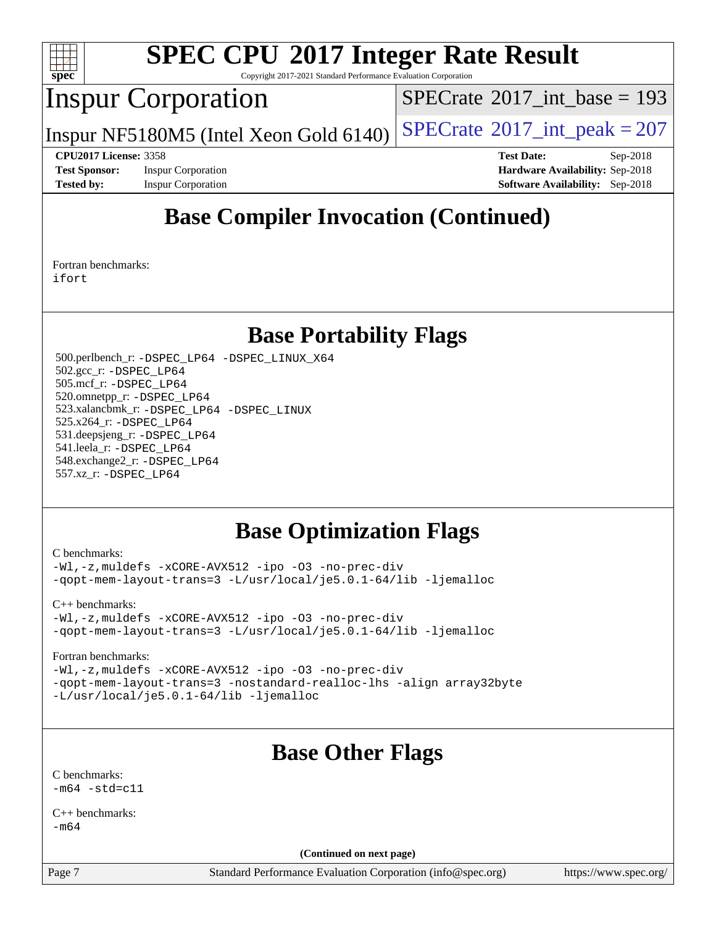

Copyright 2017-2021 Standard Performance Evaluation Corporation

## Inspur Corporation

 $SPECTate@2017_int\_base = 193$ 

Inspur NF5180M5 (Intel Xeon Gold 6140)  $SPECrate^{\circ}2017\_int\_peak = 207$  $SPECrate^{\circ}2017\_int\_peak = 207$ 

**[CPU2017 License:](http://www.spec.org/auto/cpu2017/Docs/result-fields.html#CPU2017License)** 3358 **[Test Date:](http://www.spec.org/auto/cpu2017/Docs/result-fields.html#TestDate)** Sep-2018 **[Test Sponsor:](http://www.spec.org/auto/cpu2017/Docs/result-fields.html#TestSponsor)** Inspur Corporation **[Hardware Availability:](http://www.spec.org/auto/cpu2017/Docs/result-fields.html#HardwareAvailability)** Sep-2018 **[Tested by:](http://www.spec.org/auto/cpu2017/Docs/result-fields.html#Testedby)** Inspur Corporation **[Software Availability:](http://www.spec.org/auto/cpu2017/Docs/result-fields.html#SoftwareAvailability)** Sep-2018

## **[Base Compiler Invocation \(Continued\)](http://www.spec.org/auto/cpu2017/Docs/result-fields.html#BaseCompilerInvocation)**

[Fortran benchmarks](http://www.spec.org/auto/cpu2017/Docs/result-fields.html#Fortranbenchmarks): [ifort](http://www.spec.org/cpu2017/results/res2018q4/cpu2017-20181001-08971.flags.html#user_FCbase_intel_ifort_18.0_8111460550e3ca792625aed983ce982f94888b8b503583aa7ba2b8303487b4d8a21a13e7191a45c5fd58ff318f48f9492884d4413fa793fd88dd292cad7027ca)

#### **[Base Portability Flags](http://www.spec.org/auto/cpu2017/Docs/result-fields.html#BasePortabilityFlags)**

 500.perlbench\_r: [-DSPEC\\_LP64](http://www.spec.org/cpu2017/results/res2018q4/cpu2017-20181001-08971.flags.html#b500.perlbench_r_basePORTABILITY_DSPEC_LP64) [-DSPEC\\_LINUX\\_X64](http://www.spec.org/cpu2017/results/res2018q4/cpu2017-20181001-08971.flags.html#b500.perlbench_r_baseCPORTABILITY_DSPEC_LINUX_X64) 502.gcc\_r: [-DSPEC\\_LP64](http://www.spec.org/cpu2017/results/res2018q4/cpu2017-20181001-08971.flags.html#suite_basePORTABILITY502_gcc_r_DSPEC_LP64) 505.mcf\_r: [-DSPEC\\_LP64](http://www.spec.org/cpu2017/results/res2018q4/cpu2017-20181001-08971.flags.html#suite_basePORTABILITY505_mcf_r_DSPEC_LP64) 520.omnetpp\_r: [-DSPEC\\_LP64](http://www.spec.org/cpu2017/results/res2018q4/cpu2017-20181001-08971.flags.html#suite_basePORTABILITY520_omnetpp_r_DSPEC_LP64) 523.xalancbmk\_r: [-DSPEC\\_LP64](http://www.spec.org/cpu2017/results/res2018q4/cpu2017-20181001-08971.flags.html#suite_basePORTABILITY523_xalancbmk_r_DSPEC_LP64) [-DSPEC\\_LINUX](http://www.spec.org/cpu2017/results/res2018q4/cpu2017-20181001-08971.flags.html#b523.xalancbmk_r_baseCXXPORTABILITY_DSPEC_LINUX) 525.x264\_r: [-DSPEC\\_LP64](http://www.spec.org/cpu2017/results/res2018q4/cpu2017-20181001-08971.flags.html#suite_basePORTABILITY525_x264_r_DSPEC_LP64) 531.deepsjeng\_r: [-DSPEC\\_LP64](http://www.spec.org/cpu2017/results/res2018q4/cpu2017-20181001-08971.flags.html#suite_basePORTABILITY531_deepsjeng_r_DSPEC_LP64) 541.leela\_r: [-DSPEC\\_LP64](http://www.spec.org/cpu2017/results/res2018q4/cpu2017-20181001-08971.flags.html#suite_basePORTABILITY541_leela_r_DSPEC_LP64) 548.exchange2\_r: [-DSPEC\\_LP64](http://www.spec.org/cpu2017/results/res2018q4/cpu2017-20181001-08971.flags.html#suite_basePORTABILITY548_exchange2_r_DSPEC_LP64) 557.xz\_r: [-DSPEC\\_LP64](http://www.spec.org/cpu2017/results/res2018q4/cpu2017-20181001-08971.flags.html#suite_basePORTABILITY557_xz_r_DSPEC_LP64)

#### **[Base Optimization Flags](http://www.spec.org/auto/cpu2017/Docs/result-fields.html#BaseOptimizationFlags)**

[C benchmarks](http://www.spec.org/auto/cpu2017/Docs/result-fields.html#Cbenchmarks):

[-Wl,-z,muldefs](http://www.spec.org/cpu2017/results/res2018q4/cpu2017-20181001-08971.flags.html#user_CCbase_link_force_multiple1_b4cbdb97b34bdee9ceefcfe54f4c8ea74255f0b02a4b23e853cdb0e18eb4525ac79b5a88067c842dd0ee6996c24547a27a4b99331201badda8798ef8a743f577) [-xCORE-AVX512](http://www.spec.org/cpu2017/results/res2018q4/cpu2017-20181001-08971.flags.html#user_CCbase_f-xCORE-AVX512) [-ipo](http://www.spec.org/cpu2017/results/res2018q4/cpu2017-20181001-08971.flags.html#user_CCbase_f-ipo) [-O3](http://www.spec.org/cpu2017/results/res2018q4/cpu2017-20181001-08971.flags.html#user_CCbase_f-O3) [-no-prec-div](http://www.spec.org/cpu2017/results/res2018q4/cpu2017-20181001-08971.flags.html#user_CCbase_f-no-prec-div) [-qopt-mem-layout-trans=3](http://www.spec.org/cpu2017/results/res2018q4/cpu2017-20181001-08971.flags.html#user_CCbase_f-qopt-mem-layout-trans_de80db37974c74b1f0e20d883f0b675c88c3b01e9d123adea9b28688d64333345fb62bc4a798493513fdb68f60282f9a726aa07f478b2f7113531aecce732043) [-L/usr/local/je5.0.1-64/lib](http://www.spec.org/cpu2017/results/res2018q4/cpu2017-20181001-08971.flags.html#user_CCbase_jemalloc_link_path64_4b10a636b7bce113509b17f3bd0d6226c5fb2346b9178c2d0232c14f04ab830f976640479e5c33dc2bcbbdad86ecfb6634cbbd4418746f06f368b512fced5394) [-ljemalloc](http://www.spec.org/cpu2017/results/res2018q4/cpu2017-20181001-08971.flags.html#user_CCbase_jemalloc_link_lib_d1249b907c500fa1c0672f44f562e3d0f79738ae9e3c4a9c376d49f265a04b9c99b167ecedbf6711b3085be911c67ff61f150a17b3472be731631ba4d0471706)

[C++ benchmarks:](http://www.spec.org/auto/cpu2017/Docs/result-fields.html#CXXbenchmarks)

[-Wl,-z,muldefs](http://www.spec.org/cpu2017/results/res2018q4/cpu2017-20181001-08971.flags.html#user_CXXbase_link_force_multiple1_b4cbdb97b34bdee9ceefcfe54f4c8ea74255f0b02a4b23e853cdb0e18eb4525ac79b5a88067c842dd0ee6996c24547a27a4b99331201badda8798ef8a743f577) [-xCORE-AVX512](http://www.spec.org/cpu2017/results/res2018q4/cpu2017-20181001-08971.flags.html#user_CXXbase_f-xCORE-AVX512) [-ipo](http://www.spec.org/cpu2017/results/res2018q4/cpu2017-20181001-08971.flags.html#user_CXXbase_f-ipo) [-O3](http://www.spec.org/cpu2017/results/res2018q4/cpu2017-20181001-08971.flags.html#user_CXXbase_f-O3) [-no-prec-div](http://www.spec.org/cpu2017/results/res2018q4/cpu2017-20181001-08971.flags.html#user_CXXbase_f-no-prec-div) [-qopt-mem-layout-trans=3](http://www.spec.org/cpu2017/results/res2018q4/cpu2017-20181001-08971.flags.html#user_CXXbase_f-qopt-mem-layout-trans_de80db37974c74b1f0e20d883f0b675c88c3b01e9d123adea9b28688d64333345fb62bc4a798493513fdb68f60282f9a726aa07f478b2f7113531aecce732043) [-L/usr/local/je5.0.1-64/lib](http://www.spec.org/cpu2017/results/res2018q4/cpu2017-20181001-08971.flags.html#user_CXXbase_jemalloc_link_path64_4b10a636b7bce113509b17f3bd0d6226c5fb2346b9178c2d0232c14f04ab830f976640479e5c33dc2bcbbdad86ecfb6634cbbd4418746f06f368b512fced5394) [-ljemalloc](http://www.spec.org/cpu2017/results/res2018q4/cpu2017-20181001-08971.flags.html#user_CXXbase_jemalloc_link_lib_d1249b907c500fa1c0672f44f562e3d0f79738ae9e3c4a9c376d49f265a04b9c99b167ecedbf6711b3085be911c67ff61f150a17b3472be731631ba4d0471706)

[Fortran benchmarks](http://www.spec.org/auto/cpu2017/Docs/result-fields.html#Fortranbenchmarks):

[-Wl,-z,muldefs](http://www.spec.org/cpu2017/results/res2018q4/cpu2017-20181001-08971.flags.html#user_FCbase_link_force_multiple1_b4cbdb97b34bdee9ceefcfe54f4c8ea74255f0b02a4b23e853cdb0e18eb4525ac79b5a88067c842dd0ee6996c24547a27a4b99331201badda8798ef8a743f577) [-xCORE-AVX512](http://www.spec.org/cpu2017/results/res2018q4/cpu2017-20181001-08971.flags.html#user_FCbase_f-xCORE-AVX512) [-ipo](http://www.spec.org/cpu2017/results/res2018q4/cpu2017-20181001-08971.flags.html#user_FCbase_f-ipo) [-O3](http://www.spec.org/cpu2017/results/res2018q4/cpu2017-20181001-08971.flags.html#user_FCbase_f-O3) [-no-prec-div](http://www.spec.org/cpu2017/results/res2018q4/cpu2017-20181001-08971.flags.html#user_FCbase_f-no-prec-div) [-qopt-mem-layout-trans=3](http://www.spec.org/cpu2017/results/res2018q4/cpu2017-20181001-08971.flags.html#user_FCbase_f-qopt-mem-layout-trans_de80db37974c74b1f0e20d883f0b675c88c3b01e9d123adea9b28688d64333345fb62bc4a798493513fdb68f60282f9a726aa07f478b2f7113531aecce732043) [-nostandard-realloc-lhs](http://www.spec.org/cpu2017/results/res2018q4/cpu2017-20181001-08971.flags.html#user_FCbase_f_2003_std_realloc_82b4557e90729c0f113870c07e44d33d6f5a304b4f63d4c15d2d0f1fab99f5daaed73bdb9275d9ae411527f28b936061aa8b9c8f2d63842963b95c9dd6426b8a) [-align array32byte](http://www.spec.org/cpu2017/results/res2018q4/cpu2017-20181001-08971.flags.html#user_FCbase_align_array32byte_b982fe038af199962ba9a80c053b8342c548c85b40b8e86eb3cc33dee0d7986a4af373ac2d51c3f7cf710a18d62fdce2948f201cd044323541f22fc0fffc51b6) [-L/usr/local/je5.0.1-64/lib](http://www.spec.org/cpu2017/results/res2018q4/cpu2017-20181001-08971.flags.html#user_FCbase_jemalloc_link_path64_4b10a636b7bce113509b17f3bd0d6226c5fb2346b9178c2d0232c14f04ab830f976640479e5c33dc2bcbbdad86ecfb6634cbbd4418746f06f368b512fced5394) [-ljemalloc](http://www.spec.org/cpu2017/results/res2018q4/cpu2017-20181001-08971.flags.html#user_FCbase_jemalloc_link_lib_d1249b907c500fa1c0672f44f562e3d0f79738ae9e3c4a9c376d49f265a04b9c99b167ecedbf6711b3085be911c67ff61f150a17b3472be731631ba4d0471706)

## **[Base Other Flags](http://www.spec.org/auto/cpu2017/Docs/result-fields.html#BaseOtherFlags)**

[C benchmarks](http://www.spec.org/auto/cpu2017/Docs/result-fields.html#Cbenchmarks):  $-m64 - std = c11$  $-m64 - std = c11$ 

[C++ benchmarks:](http://www.spec.org/auto/cpu2017/Docs/result-fields.html#CXXbenchmarks) [-m64](http://www.spec.org/cpu2017/results/res2018q4/cpu2017-20181001-08971.flags.html#user_CXXbase_intel_intel64_18.0_af43caccfc8ded86e7699f2159af6efc7655f51387b94da716254467f3c01020a5059329e2569e4053f409e7c9202a7efc638f7a6d1ffb3f52dea4a3e31d82ab)

**(Continued on next page)**

Page 7 Standard Performance Evaluation Corporation [\(info@spec.org\)](mailto:info@spec.org) <https://www.spec.org/>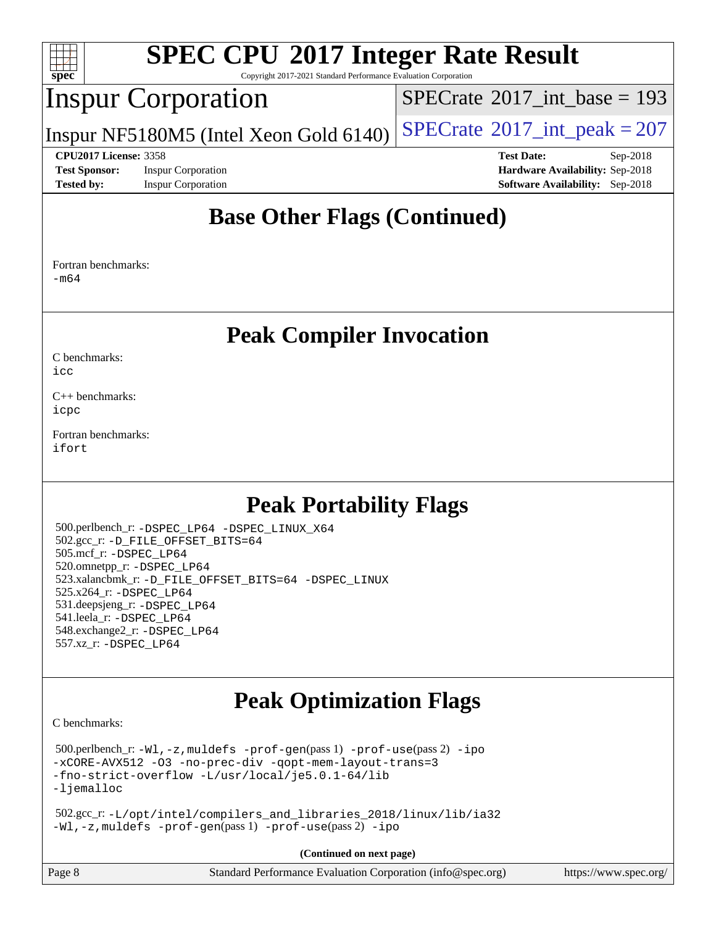

Copyright 2017-2021 Standard Performance Evaluation Corporation

#### Inspur Corporation

 $SPECTate@2017_int\_base = 193$ 

Inspur NF5180M5 (Intel Xeon Gold  $6140$ ) [SPECrate](http://www.spec.org/auto/cpu2017/Docs/result-fields.html#SPECrate2017intpeak)<sup>®</sup>[2017\\_int\\_peak = 2](http://www.spec.org/auto/cpu2017/Docs/result-fields.html#SPECrate2017intpeak)07

**[Test Sponsor:](http://www.spec.org/auto/cpu2017/Docs/result-fields.html#TestSponsor)** Inspur Corporation **[Hardware Availability:](http://www.spec.org/auto/cpu2017/Docs/result-fields.html#HardwareAvailability)** Sep-2018 **[Tested by:](http://www.spec.org/auto/cpu2017/Docs/result-fields.html#Testedby)** Inspur Corporation **[Software Availability:](http://www.spec.org/auto/cpu2017/Docs/result-fields.html#SoftwareAvailability)** Sep-2018

**[CPU2017 License:](http://www.spec.org/auto/cpu2017/Docs/result-fields.html#CPU2017License)** 3358 **[Test Date:](http://www.spec.org/auto/cpu2017/Docs/result-fields.html#TestDate)** Sep-2018

#### **[Base Other Flags \(Continued\)](http://www.spec.org/auto/cpu2017/Docs/result-fields.html#BaseOtherFlags)**

[Fortran benchmarks](http://www.spec.org/auto/cpu2017/Docs/result-fields.html#Fortranbenchmarks): [-m64](http://www.spec.org/cpu2017/results/res2018q4/cpu2017-20181001-08971.flags.html#user_FCbase_intel_intel64_18.0_af43caccfc8ded86e7699f2159af6efc7655f51387b94da716254467f3c01020a5059329e2569e4053f409e7c9202a7efc638f7a6d1ffb3f52dea4a3e31d82ab)

#### **[Peak Compiler Invocation](http://www.spec.org/auto/cpu2017/Docs/result-fields.html#PeakCompilerInvocation)**

[C benchmarks](http://www.spec.org/auto/cpu2017/Docs/result-fields.html#Cbenchmarks):

[icc](http://www.spec.org/cpu2017/results/res2018q4/cpu2017-20181001-08971.flags.html#user_CCpeak_intel_icc_18.0_66fc1ee009f7361af1fbd72ca7dcefbb700085f36577c54f309893dd4ec40d12360134090235512931783d35fd58c0460139e722d5067c5574d8eaf2b3e37e92)

[C++ benchmarks:](http://www.spec.org/auto/cpu2017/Docs/result-fields.html#CXXbenchmarks) [icpc](http://www.spec.org/cpu2017/results/res2018q4/cpu2017-20181001-08971.flags.html#user_CXXpeak_intel_icpc_18.0_c510b6838c7f56d33e37e94d029a35b4a7bccf4766a728ee175e80a419847e808290a9b78be685c44ab727ea267ec2f070ec5dc83b407c0218cded6866a35d07)

[Fortran benchmarks](http://www.spec.org/auto/cpu2017/Docs/result-fields.html#Fortranbenchmarks): [ifort](http://www.spec.org/cpu2017/results/res2018q4/cpu2017-20181001-08971.flags.html#user_FCpeak_intel_ifort_18.0_8111460550e3ca792625aed983ce982f94888b8b503583aa7ba2b8303487b4d8a21a13e7191a45c5fd58ff318f48f9492884d4413fa793fd88dd292cad7027ca)

#### **[Peak Portability Flags](http://www.spec.org/auto/cpu2017/Docs/result-fields.html#PeakPortabilityFlags)**

 500.perlbench\_r: [-DSPEC\\_LP64](http://www.spec.org/cpu2017/results/res2018q4/cpu2017-20181001-08971.flags.html#b500.perlbench_r_peakPORTABILITY_DSPEC_LP64) [-DSPEC\\_LINUX\\_X64](http://www.spec.org/cpu2017/results/res2018q4/cpu2017-20181001-08971.flags.html#b500.perlbench_r_peakCPORTABILITY_DSPEC_LINUX_X64) 502.gcc\_r: [-D\\_FILE\\_OFFSET\\_BITS=64](http://www.spec.org/cpu2017/results/res2018q4/cpu2017-20181001-08971.flags.html#user_peakPORTABILITY502_gcc_r_file_offset_bits_64_5ae949a99b284ddf4e95728d47cb0843d81b2eb0e18bdfe74bbf0f61d0b064f4bda2f10ea5eb90e1dcab0e84dbc592acfc5018bc955c18609f94ddb8d550002c) 505.mcf\_r: [-DSPEC\\_LP64](http://www.spec.org/cpu2017/results/res2018q4/cpu2017-20181001-08971.flags.html#suite_peakPORTABILITY505_mcf_r_DSPEC_LP64) 520.omnetpp\_r: [-DSPEC\\_LP64](http://www.spec.org/cpu2017/results/res2018q4/cpu2017-20181001-08971.flags.html#suite_peakPORTABILITY520_omnetpp_r_DSPEC_LP64) 523.xalancbmk\_r: [-D\\_FILE\\_OFFSET\\_BITS=64](http://www.spec.org/cpu2017/results/res2018q4/cpu2017-20181001-08971.flags.html#user_peakPORTABILITY523_xalancbmk_r_file_offset_bits_64_5ae949a99b284ddf4e95728d47cb0843d81b2eb0e18bdfe74bbf0f61d0b064f4bda2f10ea5eb90e1dcab0e84dbc592acfc5018bc955c18609f94ddb8d550002c) [-DSPEC\\_LINUX](http://www.spec.org/cpu2017/results/res2018q4/cpu2017-20181001-08971.flags.html#b523.xalancbmk_r_peakCXXPORTABILITY_DSPEC_LINUX) 525.x264\_r: [-DSPEC\\_LP64](http://www.spec.org/cpu2017/results/res2018q4/cpu2017-20181001-08971.flags.html#suite_peakPORTABILITY525_x264_r_DSPEC_LP64) 531.deepsjeng\_r: [-DSPEC\\_LP64](http://www.spec.org/cpu2017/results/res2018q4/cpu2017-20181001-08971.flags.html#suite_peakPORTABILITY531_deepsjeng_r_DSPEC_LP64) 541.leela\_r: [-DSPEC\\_LP64](http://www.spec.org/cpu2017/results/res2018q4/cpu2017-20181001-08971.flags.html#suite_peakPORTABILITY541_leela_r_DSPEC_LP64) 548.exchange2\_r: [-DSPEC\\_LP64](http://www.spec.org/cpu2017/results/res2018q4/cpu2017-20181001-08971.flags.html#suite_peakPORTABILITY548_exchange2_r_DSPEC_LP64) 557.xz\_r: [-DSPEC\\_LP64](http://www.spec.org/cpu2017/results/res2018q4/cpu2017-20181001-08971.flags.html#suite_peakPORTABILITY557_xz_r_DSPEC_LP64)

## **[Peak Optimization Flags](http://www.spec.org/auto/cpu2017/Docs/result-fields.html#PeakOptimizationFlags)**

[C benchmarks](http://www.spec.org/auto/cpu2017/Docs/result-fields.html#Cbenchmarks):

 500.perlbench\_r: [-Wl,-z,muldefs](http://www.spec.org/cpu2017/results/res2018q4/cpu2017-20181001-08971.flags.html#user_peakEXTRA_LDFLAGS500_perlbench_r_link_force_multiple1_b4cbdb97b34bdee9ceefcfe54f4c8ea74255f0b02a4b23e853cdb0e18eb4525ac79b5a88067c842dd0ee6996c24547a27a4b99331201badda8798ef8a743f577) [-prof-gen](http://www.spec.org/cpu2017/results/res2018q4/cpu2017-20181001-08971.flags.html#user_peakPASS1_CFLAGSPASS1_LDFLAGS500_perlbench_r_prof_gen_5aa4926d6013ddb2a31985c654b3eb18169fc0c6952a63635c234f711e6e63dd76e94ad52365559451ec499a2cdb89e4dc58ba4c67ef54ca681ffbe1461d6b36)(pass 1) [-prof-use](http://www.spec.org/cpu2017/results/res2018q4/cpu2017-20181001-08971.flags.html#user_peakPASS2_CFLAGSPASS2_LDFLAGS500_perlbench_r_prof_use_1a21ceae95f36a2b53c25747139a6c16ca95bd9def2a207b4f0849963b97e94f5260e30a0c64f4bb623698870e679ca08317ef8150905d41bd88c6f78df73f19)(pass 2) [-ipo](http://www.spec.org/cpu2017/results/res2018q4/cpu2017-20181001-08971.flags.html#user_peakPASS1_COPTIMIZEPASS2_COPTIMIZE500_perlbench_r_f-ipo) [-xCORE-AVX512](http://www.spec.org/cpu2017/results/res2018q4/cpu2017-20181001-08971.flags.html#user_peakPASS2_COPTIMIZE500_perlbench_r_f-xCORE-AVX512) [-O3](http://www.spec.org/cpu2017/results/res2018q4/cpu2017-20181001-08971.flags.html#user_peakPASS1_COPTIMIZEPASS2_COPTIMIZE500_perlbench_r_f-O3) [-no-prec-div](http://www.spec.org/cpu2017/results/res2018q4/cpu2017-20181001-08971.flags.html#user_peakPASS1_COPTIMIZEPASS2_COPTIMIZE500_perlbench_r_f-no-prec-div) [-qopt-mem-layout-trans=3](http://www.spec.org/cpu2017/results/res2018q4/cpu2017-20181001-08971.flags.html#user_peakPASS1_COPTIMIZEPASS2_COPTIMIZE500_perlbench_r_f-qopt-mem-layout-trans_de80db37974c74b1f0e20d883f0b675c88c3b01e9d123adea9b28688d64333345fb62bc4a798493513fdb68f60282f9a726aa07f478b2f7113531aecce732043) [-fno-strict-overflow](http://www.spec.org/cpu2017/results/res2018q4/cpu2017-20181001-08971.flags.html#user_peakEXTRA_OPTIMIZE500_perlbench_r_f-fno-strict-overflow) [-L/usr/local/je5.0.1-64/lib](http://www.spec.org/cpu2017/results/res2018q4/cpu2017-20181001-08971.flags.html#user_peakEXTRA_LIBS500_perlbench_r_jemalloc_link_path64_4b10a636b7bce113509b17f3bd0d6226c5fb2346b9178c2d0232c14f04ab830f976640479e5c33dc2bcbbdad86ecfb6634cbbd4418746f06f368b512fced5394) [-ljemalloc](http://www.spec.org/cpu2017/results/res2018q4/cpu2017-20181001-08971.flags.html#user_peakEXTRA_LIBS500_perlbench_r_jemalloc_link_lib_d1249b907c500fa1c0672f44f562e3d0f79738ae9e3c4a9c376d49f265a04b9c99b167ecedbf6711b3085be911c67ff61f150a17b3472be731631ba4d0471706)

 502.gcc\_r: [-L/opt/intel/compilers\\_and\\_libraries\\_2018/linux/lib/ia32](http://www.spec.org/cpu2017/results/res2018q4/cpu2017-20181001-08971.flags.html#user_peakCCLD502_gcc_r_Enable-32bit-runtime_af243bdb1d79e4c7a4f720bf8275e627de2ecd461de63307bc14cef0633fde3cd7bb2facb32dcc8be9566045fb55d40ce2b72b725f73827aa7833441b71b9343) [-Wl,-z,muldefs](http://www.spec.org/cpu2017/results/res2018q4/cpu2017-20181001-08971.flags.html#user_peakEXTRA_LDFLAGS502_gcc_r_link_force_multiple1_b4cbdb97b34bdee9ceefcfe54f4c8ea74255f0b02a4b23e853cdb0e18eb4525ac79b5a88067c842dd0ee6996c24547a27a4b99331201badda8798ef8a743f577) [-prof-gen](http://www.spec.org/cpu2017/results/res2018q4/cpu2017-20181001-08971.flags.html#user_peakPASS1_CFLAGSPASS1_LDFLAGS502_gcc_r_prof_gen_5aa4926d6013ddb2a31985c654b3eb18169fc0c6952a63635c234f711e6e63dd76e94ad52365559451ec499a2cdb89e4dc58ba4c67ef54ca681ffbe1461d6b36)(pass 1) [-prof-use](http://www.spec.org/cpu2017/results/res2018q4/cpu2017-20181001-08971.flags.html#user_peakPASS2_CFLAGSPASS2_LDFLAGS502_gcc_r_prof_use_1a21ceae95f36a2b53c25747139a6c16ca95bd9def2a207b4f0849963b97e94f5260e30a0c64f4bb623698870e679ca08317ef8150905d41bd88c6f78df73f19)(pass 2) [-ipo](http://www.spec.org/cpu2017/results/res2018q4/cpu2017-20181001-08971.flags.html#user_peakPASS1_COPTIMIZEPASS2_COPTIMIZE502_gcc_r_f-ipo)

**(Continued on next page)**

| Page 8<br>Standard Performance Evaluation Corporation (info@spec.org)<br>https://www.spec.org/ |
|------------------------------------------------------------------------------------------------|
|------------------------------------------------------------------------------------------------|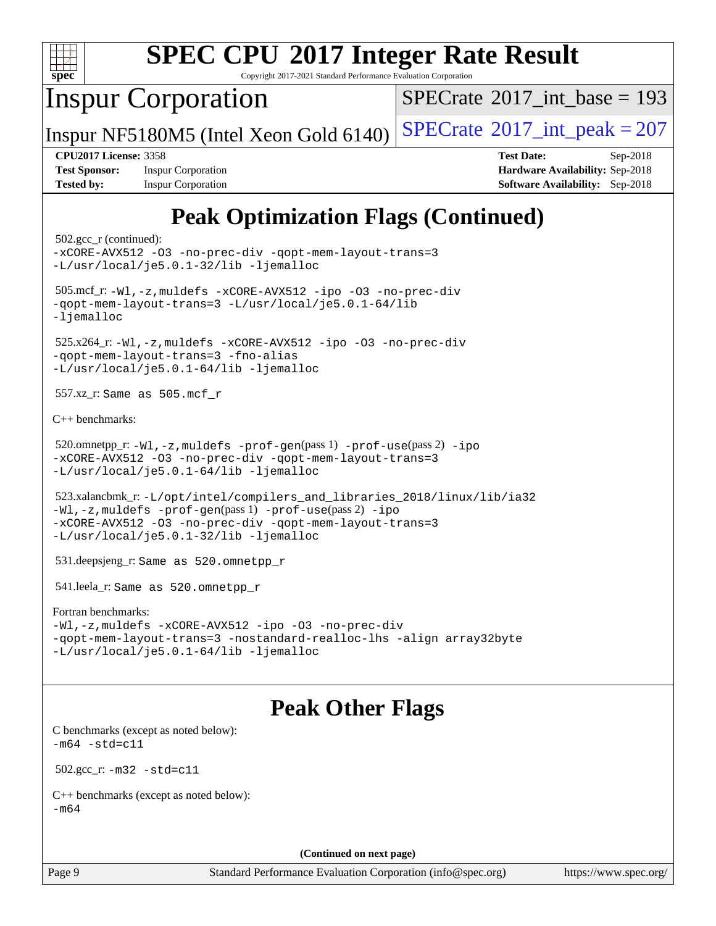

Copyright 2017-2021 Standard Performance Evaluation Corporation

## Inspur Corporation

 $SPECTate$ <sup>®</sup>[2017\\_int\\_base =](http://www.spec.org/auto/cpu2017/Docs/result-fields.html#SPECrate2017intbase) 193

Inspur NF5180M5 (Intel Xeon Gold 6140)  $SPECrate^{\circ}2017\_int\_peak = 207$  $SPECrate^{\circ}2017\_int\_peak = 207$ 

**[Test Sponsor:](http://www.spec.org/auto/cpu2017/Docs/result-fields.html#TestSponsor)** Inspur Corporation **[Hardware Availability:](http://www.spec.org/auto/cpu2017/Docs/result-fields.html#HardwareAvailability)** Sep-2018 **[Tested by:](http://www.spec.org/auto/cpu2017/Docs/result-fields.html#Testedby)** Inspur Corporation **[Software Availability:](http://www.spec.org/auto/cpu2017/Docs/result-fields.html#SoftwareAvailability)** Sep-2018

**[CPU2017 License:](http://www.spec.org/auto/cpu2017/Docs/result-fields.html#CPU2017License)** 3358 **[Test Date:](http://www.spec.org/auto/cpu2017/Docs/result-fields.html#TestDate)** Sep-2018

# **[Peak Optimization Flags \(Continued\)](http://www.spec.org/auto/cpu2017/Docs/result-fields.html#PeakOptimizationFlags)**

```
 502.gcc_r (continued):
-xCORE-AVX512 -O3 -no-prec-div -qopt-mem-layout-trans=3
-L/usr/local/je5.0.1-32/lib -ljemalloc
 505.mcf_r: -Wl,-z,muldefs -xCORE-AVX512 -ipo -O3 -no-prec-div
-qopt-mem-layout-trans=3 -L/usr/local/je5.0.1-64/lib
-ljemalloc
 525.x264_r: -Wl,-z,muldefs -xCORE-AVX512 -ipo -O3 -no-prec-div
-qopt-mem-layout-trans=3 -fno-alias
-L/usr/local/je5.0.1-64/lib -ljemalloc
 557.xz_r: Same as 505.mcf_r
C++ benchmarks: 
 520.omnetpp_r: -Wl,-z,muldefs -prof-gen(pass 1) -prof-use(pass 2) -ipo
-xCORE-AVX512 -O3 -no-prec-div -qopt-mem-layout-trans=3
-L/usr/local/je5.0.1-64/lib -ljemalloc
 523.xalancbmk_r: -L/opt/intel/compilers_and_libraries_2018/linux/lib/ia32
-Wl,-z,muldefs -prof-gen(pass 1) -prof-use(pass 2) -ipo
-xCORE-AVX512 -O3 -no-prec-div -qopt-mem-layout-trans=3
-L/usr/local/je5.0.1-32/lib -ljemalloc
 531.deepsjeng_r: Same as 520.omnetpp_r
 541.leela_r: Same as 520.omnetpp_r
Fortran benchmarks: 
-Wl,-z,muldefs -xCORE-AVX512 -ipo -O3 -no-prec-div
-qopt-mem-layout-trans=3 -nostandard-realloc-lhs -align array32byte
-L/usr/local/je5.0.1-64/lib -ljemalloc
```
## **[Peak Other Flags](http://www.spec.org/auto/cpu2017/Docs/result-fields.html#PeakOtherFlags)**

[C benchmarks \(except as noted below\)](http://www.spec.org/auto/cpu2017/Docs/result-fields.html#Cbenchmarksexceptasnotedbelow):  $-m64 - std = c11$  $-m64 - std = c11$ 

502.gcc\_r: [-m32](http://www.spec.org/cpu2017/results/res2018q4/cpu2017-20181001-08971.flags.html#user_peakCCLD502_gcc_r_intel_ia32_18.0_2666f1173eb60787016b673bfe1358e27016ef7649ea4884b7bc6187fd89dc221d14632e22638cde1c647a518de97358ab15d4ad098ee4e19a8b28d0c25e14bf) [-std=c11](http://www.spec.org/cpu2017/results/res2018q4/cpu2017-20181001-08971.flags.html#user_peakCCLD502_gcc_r_intel_compiler_c11_mode_0e1c27790398a4642dfca32ffe6c27b5796f9c2d2676156f2e42c9c44eaad0c049b1cdb667a270c34d979996257aeb8fc440bfb01818dbc9357bd9d174cb8524)

[C++ benchmarks \(except as noted below\):](http://www.spec.org/auto/cpu2017/Docs/result-fields.html#CXXbenchmarksexceptasnotedbelow) [-m64](http://www.spec.org/cpu2017/results/res2018q4/cpu2017-20181001-08971.flags.html#user_CXXpeak_intel_intel64_18.0_af43caccfc8ded86e7699f2159af6efc7655f51387b94da716254467f3c01020a5059329e2569e4053f409e7c9202a7efc638f7a6d1ffb3f52dea4a3e31d82ab)

**(Continued on next page)**

Page 9 Standard Performance Evaluation Corporation [\(info@spec.org\)](mailto:info@spec.org) <https://www.spec.org/>